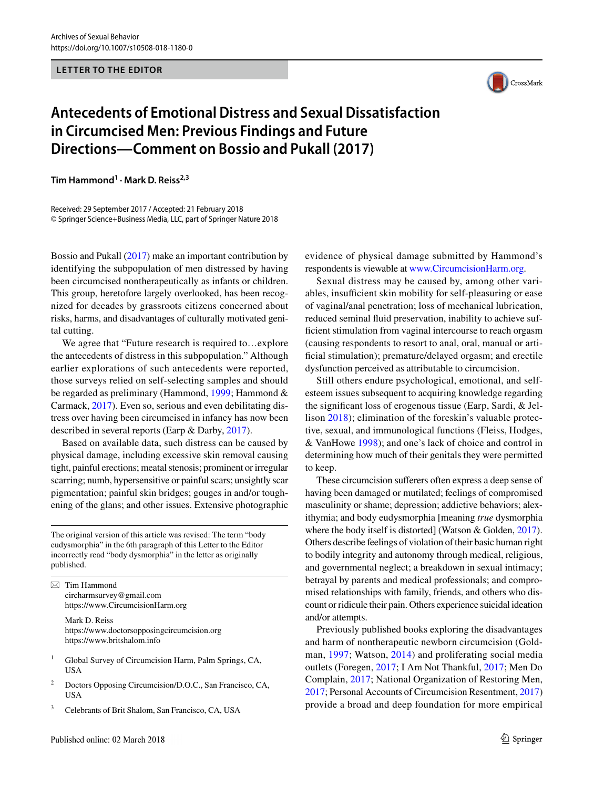## **LETTER TO THE EDITOR**



## **Antecedents of Emotional Distress and Sexual Dissatisfaction in Circumcised Men: Previous Findings and Future Directions—Comment on Bossio and Pukall (2017)**

**Tim Hammond1 · Mark D. Reiss2,3**

Received: 29 September 2017 / Accepted: 21 February 2018 © Springer Science+Business Media, LLC, part of Springer Nature 2018

Bossio and Pukall (2017) make an important contribution by identifying the subpopulation of men distressed by having been circumcised nontherapeutically as infants or children. This group, heretofore largely overlooked, has been recognized for decades by grassroots citizens concerned about risks, harms, and disadvantages of culturally motivated genital cutting.

We agree that "Future research is required to…explore the antecedents of distress in this subpopulation." Although earlier explorations of such antecedents were reported, those surveys relied on self-selecting samples and should be regarded as preliminary (Hammond, 1999; Hammond & Carmack, 2017). Even so, serious and even debilitating distress over having been circumcised in infancy has now been described in several reports (Earp & Darby, 2017).

Based on available data, such distress can be caused by physical damage, including excessive skin removal causing tight, painful erections; meatal stenosis; prominent or irregular scarring; numb, hypersensitive or painful scars; unsightly scar pigmentation; painful skin bridges; gouges in and/or toughening of the glans; and other issues. Extensive photographic

The original version of this article was revised: The term "body eudysmorphia" in the 6th paragraph of this Letter to the Editor incorrectly read "body dysmorphia" in the letter as originally published.

 $\boxtimes$  Tim Hammond circharmsurvey@gmail.com https://www.CircumcisionHarm.org

> Mark D. Reiss https://www.doctorsopposingcircumcision.org https://www.britshalom.info

- <sup>1</sup> Global Survey of Circumcision Harm, Palm Springs, CA, USA
- <sup>2</sup> Doctors Opposing Circumcision/D.O.C., San Francisco, CA, USA
- <sup>3</sup> Celebrants of Brit Shalom, San Francisco, CA, USA

evidence of physical damage submitted by Hammond's respondents is viewable at www.CircumcisionHarm.org.

Sexual distress may be caused by, among other variables, insufficient skin mobility for self-pleasuring or ease of vaginal/anal penetration; loss of mechanical lubrication, reduced seminal fuid preservation, inability to achieve sufficient stimulation from vaginal intercourse to reach orgasm (causing respondents to resort to anal, oral, manual or artificial stimulation); premature/delayed orgasm; and erectile dysfunction perceived as attributable to circumcision.

Still others endure psychological, emotional, and selfesteem issues subsequent to acquiring knowledge regarding the signifcant loss of erogenous tissue (Earp, Sardi, & Jellison 2018); elimination of the foreskin's valuable protective, sexual, and immunological functions (Fleiss, Hodges, & VanHowe 1998); and one's lack of choice and control in determining how much of their genitals they were permitted to keep.

These circumcision suferers often express a deep sense of having been damaged or mutilated; feelings of compromised masculinity or shame; depression; addictive behaviors; alexithymia; and body eudysmorphia [meaning *true* dysmorphia where the body itself is distorted] (Watson & Golden, 2017). Others describe feelings of violation of their basic human right to bodily integrity and autonomy through medical, religious, and governmental neglect; a breakdown in sexual intimacy; betrayal by parents and medical professionals; and compromised relationships with family, friends, and others who discount or ridicule their pain. Others experience suicidal ideation and/or attempts.

Previously published books exploring the disadvantages and harm of nontherapeutic newborn circumcision (Goldman, 1997; Watson, 2014) and proliferating social media outlets (Foregen, 2017; I Am Not Thankful, 2017; Men Do Complain, 2017; National Organization of Restoring Men, 2017; Personal Accounts of Circumcision Resentment, 2017) provide a broad and deep foundation for more empirical